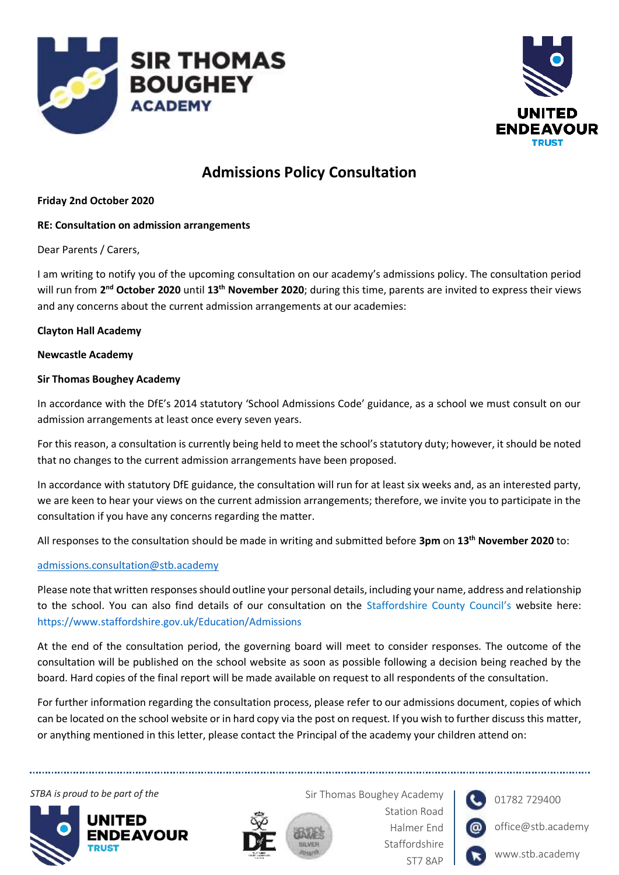



# **Admissions Policy Consultation**

#### **Friday 2nd October 2020**

#### **RE: Consultation on admission arrangements**

Dear Parents / Carers,

I am writing to notify you of the upcoming consultation on our academy's admissions policy. The consultation period will run from 2<sup>nd</sup> October 2020 until 13<sup>th</sup> November 2020; during this time, parents are invited to express their views and any concerns about the current admission arrangements at our academies:

#### **Clayton Hall Academy**

#### **Newcastle Academy**

#### **Sir Thomas Boughey Academy**

In accordance with the DfE's 2014 statutory 'School Admissions Code' guidance, as a school we must consult on our admission arrangements at least once every seven years.

For this reason, a consultation is currently being held to meet the school's statutory duty; however, it should be noted that no changes to the current admission arrangements have been proposed.

In accordance with statutory DfE guidance, the consultation will run for at least six weeks and, as an interested party, we are keen to hear your views on the current admission arrangements; therefore, we invite you to participate in the consultation if you have any concerns regarding the matter.

All responses to the consultation should be made in writing and submitted before **3pm** on **13th November 2020** to:

#### [admissions.consultation@stb.academy](mailto:admissions.consultation@stb.academy)

Please note that written responses should outline your personal details, including your name, address and relationship to the school. You can also find details of our consultation on the Staffordshire County Council's website here: <https://www.staffordshire.gov.uk/Education/Admissions>

At the end of the consultation period, the governing board will meet to consider responses. The outcome of the consultation will be published on the school website as soon as possible following a decision being reached by the board. Hard copies of the final report will be made available on request to all respondents of the consultation.

For further information regarding the consultation process, please refer to our admissions document, copies of which can be located on the school website or in hard copy via the post on request. If you wish to further discuss this matter, or anything mentioned in this letter, please contact the Principal of the academy your children attend on:

**STBA is proud to be part of the Signal Accord School State Sir Thomas Boughey Academy** 





Station Road Halmer End Staffordshire ST7 8AP



01782 729400

office@stb.academy

www.stb.academy